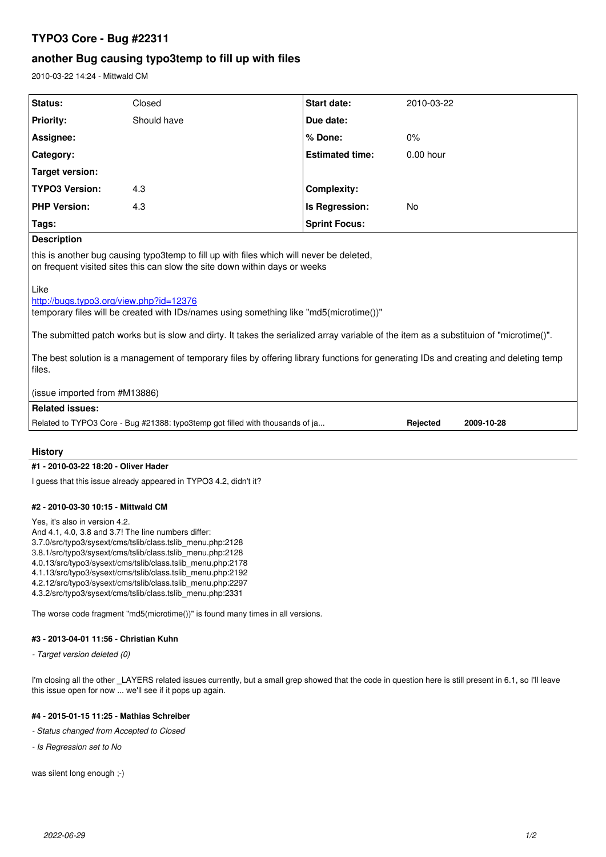# **TYPO3 Core - Bug #22311**

# **another Bug causing typo3temp to fill up with files**

2010-03-22 14:24 - Mittwald CM

| Status:                                                                                                                                                                                                                                                                                                                                                                                                                               | Closed      | <b>Start date:</b>     | 2010-03-22             |
|---------------------------------------------------------------------------------------------------------------------------------------------------------------------------------------------------------------------------------------------------------------------------------------------------------------------------------------------------------------------------------------------------------------------------------------|-------------|------------------------|------------------------|
| <b>Priority:</b>                                                                                                                                                                                                                                                                                                                                                                                                                      | Should have | Due date:              |                        |
| Assignee:                                                                                                                                                                                                                                                                                                                                                                                                                             |             | % Done:                | 0%                     |
| Category:                                                                                                                                                                                                                                                                                                                                                                                                                             |             | <b>Estimated time:</b> | $0.00$ hour            |
| Target version:                                                                                                                                                                                                                                                                                                                                                                                                                       |             |                        |                        |
| <b>TYPO3 Version:</b>                                                                                                                                                                                                                                                                                                                                                                                                                 | 4.3         | <b>Complexity:</b>     |                        |
| <b>PHP Version:</b>                                                                                                                                                                                                                                                                                                                                                                                                                   | 4.3         | Is Regression:         | No                     |
| Tags:                                                                                                                                                                                                                                                                                                                                                                                                                                 |             | <b>Sprint Focus:</b>   |                        |
| <b>Description</b>                                                                                                                                                                                                                                                                                                                                                                                                                    |             |                        |                        |
| this is another bug causing typo3temp to fill up with files which will never be deleted,<br>on frequent visited sites this can slow the site down within days or weeks                                                                                                                                                                                                                                                                |             |                        |                        |
| Like<br>http://bugs.typo3.org/view.php?id=12376<br>temporary files will be created with IDs/names using something like "md5(microtime())"<br>The submitted patch works but is slow and dirty. It takes the serialized array variable of the item as a substituion of "microtime()".<br>The best solution is a management of temporary files by offering library functions for generating IDs and creating and deleting temp<br>files. |             |                        |                        |
| (issue imported from #M13886)                                                                                                                                                                                                                                                                                                                                                                                                         |             |                        |                        |
| <b>Related issues:</b>                                                                                                                                                                                                                                                                                                                                                                                                                |             |                        |                        |
| Related to TYPO3 Core - Bug #21388: typo3temp got filled with thousands of ja                                                                                                                                                                                                                                                                                                                                                         |             |                        | Rejected<br>2009-10-28 |
| <b>History</b>                                                                                                                                                                                                                                                                                                                                                                                                                        |             |                        |                        |

## **#1 - 2010-03-22 18:20 - Oliver Hader**

I guess that this issue already appeared in TYPO3 4.2, didn't it?

### **#2 - 2010-03-30 10:15 - Mittwald CM**

Yes, it's also in version 4.2.

- And 4.1, 4.0, 3.8 and 3.7! The line numbers differ:
- 3.7.0/src/typo3/sysext/cms/tslib/class.tslib\_menu.php:2128
- 3.8.1/src/typo3/sysext/cms/tslib/class.tslib\_menu.php:2128
- 4.0.13/src/typo3/sysext/cms/tslib/class.tslib\_menu.php:2178
- 4.1.13/src/typo3/sysext/cms/tslib/class.tslib\_menu.php:2192
- 4.2.12/src/typo3/sysext/cms/tslib/class.tslib\_menu.php:2297
- 4.3.2/src/typo3/sysext/cms/tslib/class.tslib\_menu.php:2331

The worse code fragment "md5(microtime())" is found many times in all versions.

### **#3 - 2013-04-01 11:56 - Christian Kuhn**

*- Target version deleted (0)*

I'm closing all the other \_LAYERS related issues currently, but a small grep showed that the code in question here is still present in 6.1, so I'll leave this issue open for now ... we'll see if it pops up again.

### **#4 - 2015-01-15 11:25 - Mathias Schreiber**

*- Status changed from Accepted to Closed*

*- Is Regression set to No*

was silent long enough ;-)